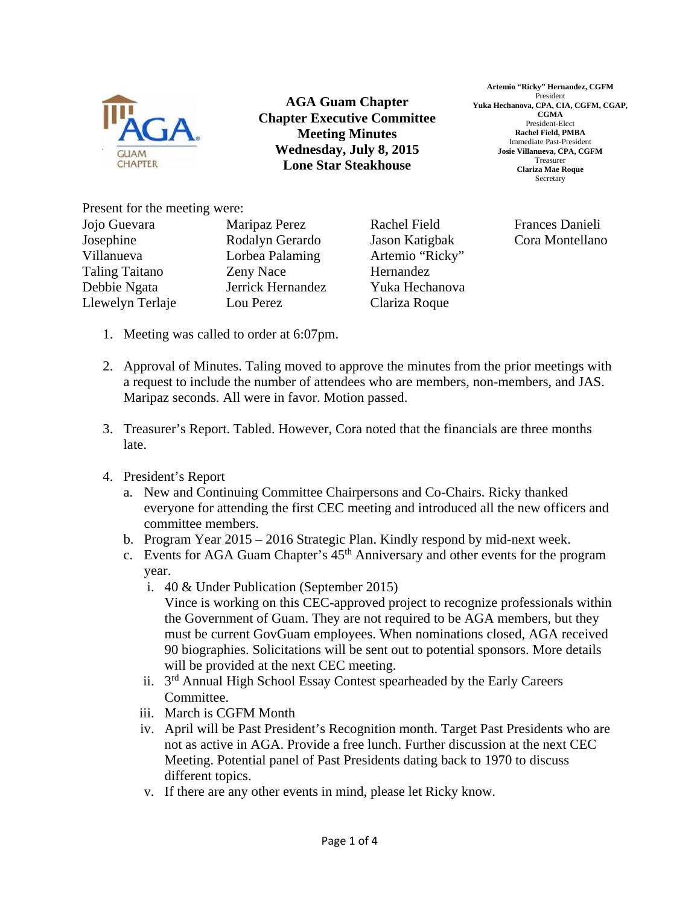

**AGA Guam Chapter Chapter Executive Committee Meeting Minutes Wednesday, July 8, 2015 Lone Star Steakhouse** 

**Artemio "Ricky" Hernandez, CGFM**  President **Yuka Hechanova, CPA, CIA, CGFM, CGAP, CGMA**  President-Elect **Rachel Field, PMBA**  Immediate Past-President **Josie Villanueva, CPA, CGFM**  Treasurer **Clariza Mae Roque**  Secretary

Present for the meeting were:

| Jojo Guevara          | Maripaz Perez     | Rachel Field    | Frances Danieli |
|-----------------------|-------------------|-----------------|-----------------|
| Josephine             | Rodalyn Gerardo   | Jason Katigbak  | Cora Montellano |
| Villanueva            | Lorbea Palaming   | Artemio "Ricky" |                 |
| <b>Taling Taitano</b> | Zeny Nace         | Hernandez       |                 |
| Debbie Ngata          | Jerrick Hernandez | Yuka Hechanova  |                 |
| Llewelyn Terlaje      | Lou Perez         | Clariza Roque   |                 |
|                       |                   |                 |                 |

- 1. Meeting was called to order at 6:07pm.
- 2. Approval of Minutes. Taling moved to approve the minutes from the prior meetings with a request to include the number of attendees who are members, non-members, and JAS. Maripaz seconds. All were in favor. Motion passed.
- 3. Treasurer's Report. Tabled. However, Cora noted that the financials are three months late.
- 4. President's Report
	- a. New and Continuing Committee Chairpersons and Co-Chairs. Ricky thanked everyone for attending the first CEC meeting and introduced all the new officers and committee members.
	- b. Program Year 2015 2016 Strategic Plan. Kindly respond by mid-next week.
	- c. Events for AGA Guam Chapter's  $45<sup>th</sup>$  Anniversary and other events for the program year.
		- i. 40 & Under Publication (September 2015) Vince is working on this CEC-approved project to recognize professionals within the Government of Guam. They are not required to be AGA members, but they must be current GovGuam employees. When nominations closed, AGA received 90 biographies. Solicitations will be sent out to potential sponsors. More details will be provided at the next CEC meeting.
		- ii. 3rd Annual High School Essay Contest spearheaded by the Early Careers Committee.
		- iii. March is CGFM Month
		- iv. April will be Past President's Recognition month. Target Past Presidents who are not as active in AGA. Provide a free lunch. Further discussion at the next CEC Meeting. Potential panel of Past Presidents dating back to 1970 to discuss different topics.
		- v. If there are any other events in mind, please let Ricky know.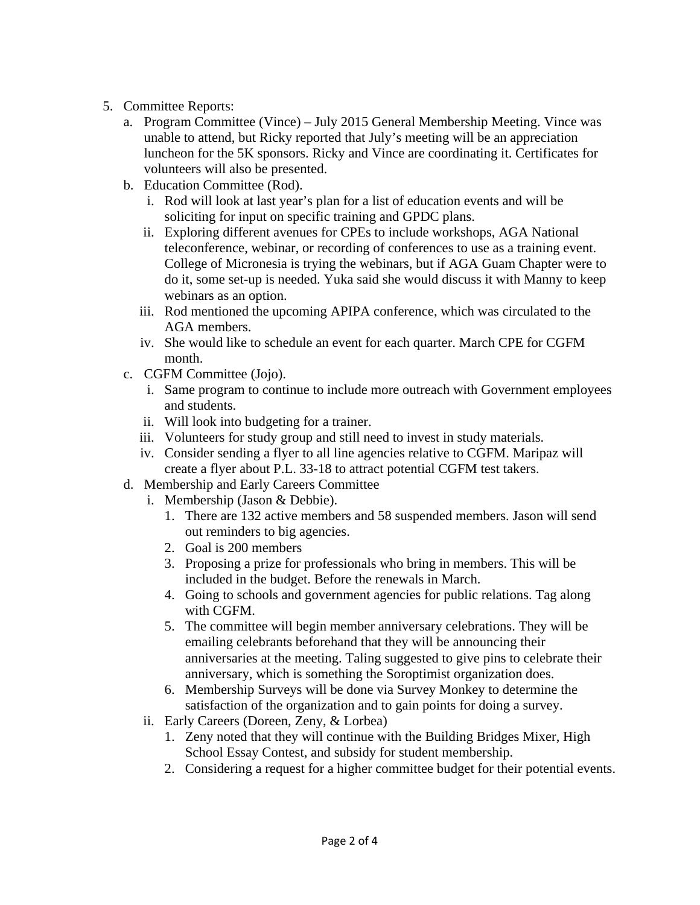- 5. Committee Reports:
	- a. Program Committee (Vince) July 2015 General Membership Meeting. Vince was unable to attend, but Ricky reported that July's meeting will be an appreciation luncheon for the 5K sponsors. Ricky and Vince are coordinating it. Certificates for volunteers will also be presented.
	- b. Education Committee (Rod).
		- i. Rod will look at last year's plan for a list of education events and will be soliciting for input on specific training and GPDC plans.
		- ii. Exploring different avenues for CPEs to include workshops, AGA National teleconference, webinar, or recording of conferences to use as a training event. College of Micronesia is trying the webinars, but if AGA Guam Chapter were to do it, some set-up is needed. Yuka said she would discuss it with Manny to keep webinars as an option.
		- iii. Rod mentioned the upcoming APIPA conference, which was circulated to the AGA members.
		- iv. She would like to schedule an event for each quarter. March CPE for CGFM month.
	- c. CGFM Committee (Jojo).
		- i. Same program to continue to include more outreach with Government employees and students.
		- ii. Will look into budgeting for a trainer.
		- iii. Volunteers for study group and still need to invest in study materials.
		- iv. Consider sending a flyer to all line agencies relative to CGFM. Maripaz will create a flyer about P.L. 33-18 to attract potential CGFM test takers.
	- d. Membership and Early Careers Committee
		- i. Membership (Jason & Debbie).
			- 1. There are 132 active members and 58 suspended members. Jason will send out reminders to big agencies.
			- 2. Goal is 200 members
			- 3. Proposing a prize for professionals who bring in members. This will be included in the budget. Before the renewals in March.
			- 4. Going to schools and government agencies for public relations. Tag along with CGFM.
			- 5. The committee will begin member anniversary celebrations. They will be emailing celebrants beforehand that they will be announcing their anniversaries at the meeting. Taling suggested to give pins to celebrate their anniversary, which is something the Soroptimist organization does.
			- 6. Membership Surveys will be done via Survey Monkey to determine the satisfaction of the organization and to gain points for doing a survey.
		- ii. Early Careers (Doreen, Zeny, & Lorbea)
			- 1. Zeny noted that they will continue with the Building Bridges Mixer, High School Essay Contest, and subsidy for student membership.
			- 2. Considering a request for a higher committee budget for their potential events.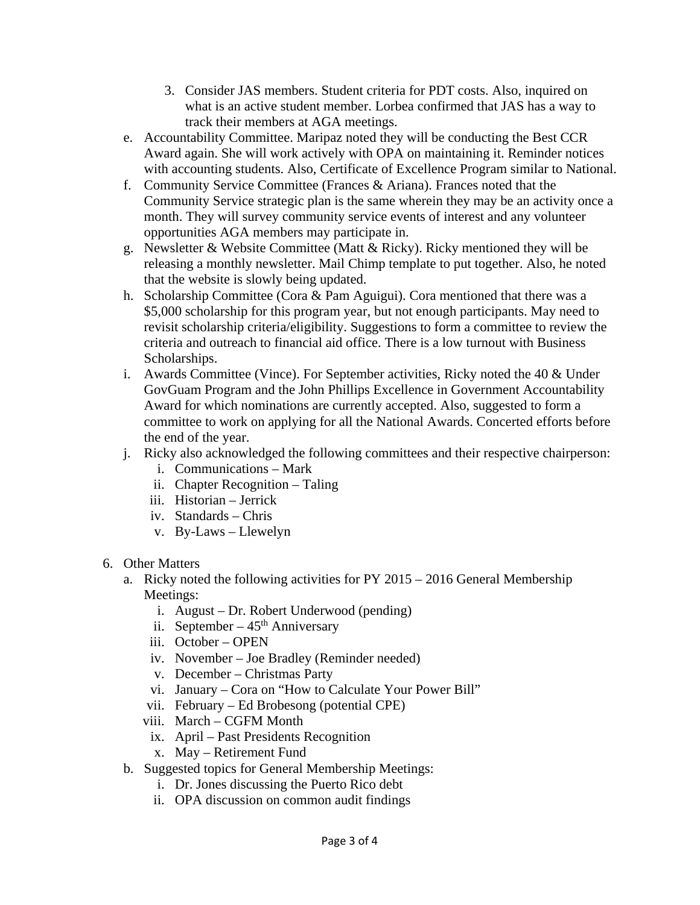- 3. Consider JAS members. Student criteria for PDT costs. Also, inquired on what is an active student member. Lorbea confirmed that JAS has a way to track their members at AGA meetings.
- e. Accountability Committee. Maripaz noted they will be conducting the Best CCR Award again. She will work actively with OPA on maintaining it. Reminder notices with accounting students. Also, Certificate of Excellence Program similar to National.
- f. Community Service Committee (Frances & Ariana). Frances noted that the Community Service strategic plan is the same wherein they may be an activity once a month. They will survey community service events of interest and any volunteer opportunities AGA members may participate in.
- g. Newsletter & Website Committee (Matt & Ricky). Ricky mentioned they will be releasing a monthly newsletter. Mail Chimp template to put together. Also, he noted that the website is slowly being updated.
- h. Scholarship Committee (Cora & Pam Aguigui). Cora mentioned that there was a \$5,000 scholarship for this program year, but not enough participants. May need to revisit scholarship criteria/eligibility. Suggestions to form a committee to review the criteria and outreach to financial aid office. There is a low turnout with Business Scholarships.
- i. Awards Committee (Vince). For September activities, Ricky noted the 40 & Under GovGuam Program and the John Phillips Excellence in Government Accountability Award for which nominations are currently accepted. Also, suggested to form a committee to work on applying for all the National Awards. Concerted efforts before the end of the year.
- j. Ricky also acknowledged the following committees and their respective chairperson:
	- i. Communications Mark
	- ii. Chapter Recognition Taling
	- iii. Historian Jerrick
	- iv. Standards Chris
	- v. By-Laws Llewelyn
- 6. Other Matters
	- a. Ricky noted the following activities for PY 2015 2016 General Membership Meetings:
		- i. August Dr. Robert Underwood (pending)
		- ii. September  $45<sup>th</sup>$  Anniversary
		- iii. October OPEN
		- iv. November Joe Bradley (Reminder needed)
		- v. December Christmas Party
		- vi. January Cora on "How to Calculate Your Power Bill"
		- vii. February Ed Brobesong (potential CPE)
		- viii. March CGFM Month
			- ix. April Past Presidents Recognition
			- x. May Retirement Fund
	- b. Suggested topics for General Membership Meetings:
		- i. Dr. Jones discussing the Puerto Rico debt
		- ii. OPA discussion on common audit findings